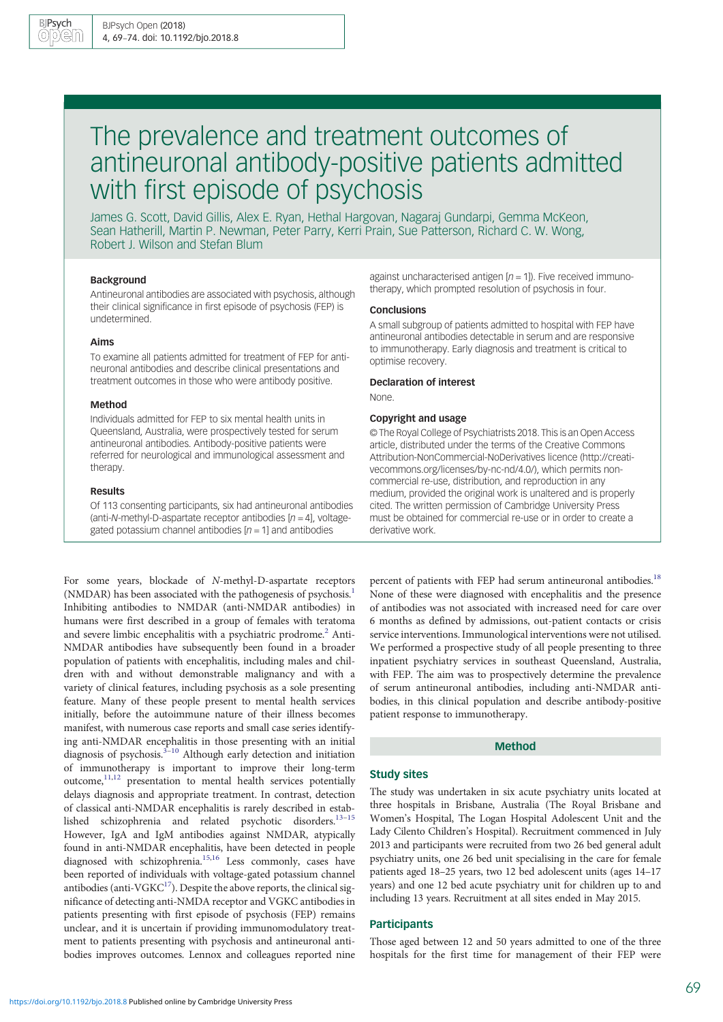# The prevalence and treatment outcomes of antineuronal antibody-positive patients admitted with first episode of psychosis

James G. Scott, David Gillis, Alex E. Ryan, Hethal Hargovan, Nagaraj Gundarpi, Gemma McKeon, Sean Hatherill, Martin P. Newman, Peter Parry, Kerri Prain, Sue Patterson, Richard C. W. Wong, Robert J. Wilson and Stefan Blum

# Background

Antineuronal antibodies are associated with psychosis, although their clinical significance in first episode of psychosis (FEP) is undetermined.

#### Aims

To examine all patients admitted for treatment of FEP for antineuronal antibodies and describe clinical presentations and treatment outcomes in those who were antibody positive.

## Method

Individuals admitted for FEP to six mental health units in Queensland, Australia, were prospectively tested for serum antineuronal antibodies. Antibody-positive patients were referred for neurological and immunological assessment and therapy.

#### Results

Of 113 consenting participants, six had antineuronal antibodies (anti-N-methyl-D-aspartate receptor antibodies  $[n = 4]$ , voltagegated potassium channel antibodies  $[n = 1]$  and antibodies

For some years, blockade of N-methyl-D-aspartate receptors (NMDAR) has been associated with the pathogenesis of psychosis.<sup>1</sup> Inhibiting antibodies to NMDAR (anti-NMDAR antibodies) in humans were first described in a group of females with teratoma and severe limbic encephalitis with a psychiatric prodrome.<sup>2</sup> Anti-NMDAR antibodies have subsequently been found in a broader population of patients with encephalitis, including males and children with and without demonstrable malignancy and with a variety of clinical features, including psychosis as a sole presenting feature. Many of these people present to mental health services initially, before the autoimmune nature of their illness becomes manifest, with numerous case reports and small case series identifying anti-NMDAR encephalitis in those presenting with an initial diagnosis of psychosis.<sup>3-[10](#page-5-0)</sup> Although early detection and initiation of immunotherapy is important to improve their long-term outcome, $11,12$  presentation to mental health services potentially delays diagnosis and appropriate treatment. In contrast, detection of classical anti-NMDAR encephalitis is rarely described in estab-lished schizophrenia and related psychotic disorders.<sup>13-[15](#page-5-0)</sup> However, IgA and IgM antibodies against NMDAR, atypically found in anti-NMDAR encephalitis, have been detected in people diagnosed with schizophrenia.[15,16](#page-5-0) Less commonly, cases have been reported of individuals with voltage-gated potassium channel antibodies (anti-VGK $C^{17}$ ). Despite the above reports, the clinical significance of detecting anti-NMDA receptor and VGKC antibodies in patients presenting with first episode of psychosis (FEP) remains unclear, and it is uncertain if providing immunomodulatory treatment to patients presenting with psychosis and antineuronal antibodies improves outcomes. Lennox and colleagues reported nine

against uncharacterised antigen  $[n = 1]$ ). Five received immunotherapy, which prompted resolution of psychosis in four.

#### **Conclusions**

A small subgroup of patients admitted to hospital with FEP have antineuronal antibodies detectable in serum and are responsive to immunotherapy. Early diagnosis and treatment is critical to optimise recovery.

#### Declaration of interest

None.

## Copyright and usage

© The Royal College of Psychiatrists 2018. This is an Open Access article, distributed under the terms of the Creative Commons Attribution-NonCommercial-NoDerivatives licence (http://creativecommons.org/licenses/by-nc-nd/4.0/), which permits noncommercial re-use, distribution, and reproduction in any medium, provided the original work is unaltered and is properly cited. The written permission of Cambridge University Press must be obtained for commercial re-use or in order to create a derivative work.

percent of patients with FEP had serum antineuronal antibodies.<sup>18</sup> None of these were diagnosed with encephalitis and the presence of antibodies was not associated with increased need for care over 6 months as defined by admissions, out-patient contacts or crisis service interventions. Immunological interventions were not utilised. We performed a prospective study of all people presenting to three inpatient psychiatry services in southeast Queensland, Australia, with FEP. The aim was to prospectively determine the prevalence of serum antineuronal antibodies, including anti-NMDAR antibodies, in this clinical population and describe antibody-positive patient response to immunotherapy.

#### Method

#### Study sites

The study was undertaken in six acute psychiatry units located at three hospitals in Brisbane, Australia (The Royal Brisbane and Women's Hospital, The Logan Hospital Adolescent Unit and the Lady Cilento Children's Hospital). Recruitment commenced in July 2013 and participants were recruited from two 26 bed general adult psychiatry units, one 26 bed unit specialising in the care for female patients aged 18–25 years, two 12 bed adolescent units (ages 14–17 years) and one 12 bed acute psychiatry unit for children up to and including 13 years. Recruitment at all sites ended in May 2015.

## **Participants**

Those aged between 12 and 50 years admitted to one of the three hospitals for the first time for management of their FEP were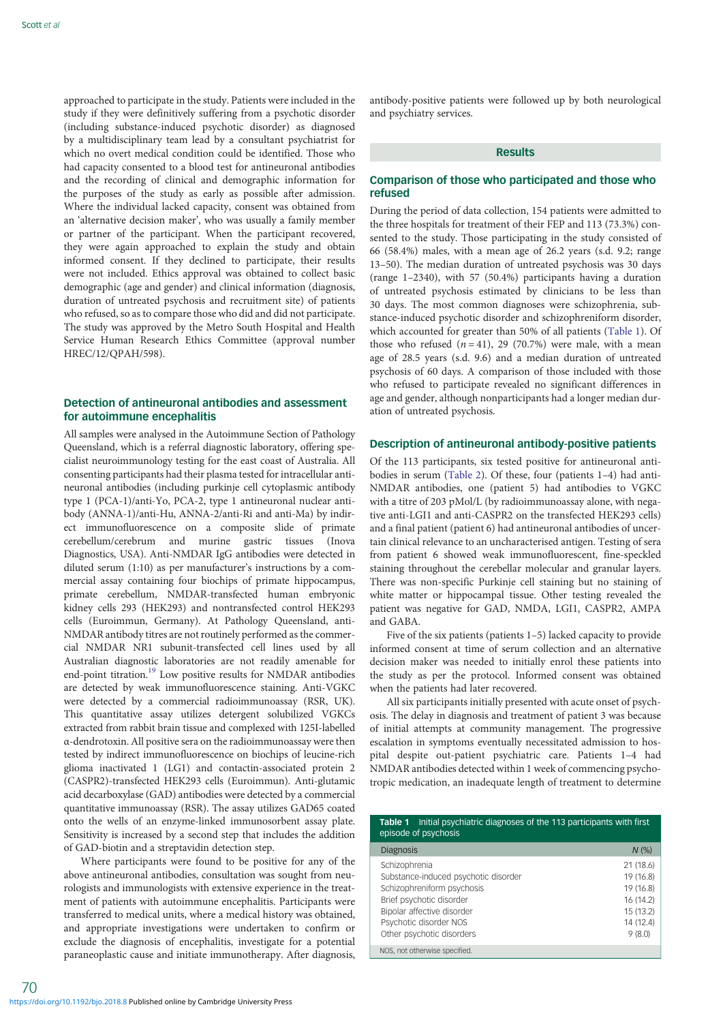approached to participate in the study. Patients were included in the study if they were definitively suffering from a psychotic disorder (including substance-induced psychotic disorder) as diagnosed by a multidisciplinary team lead by a consultant psychiatrist for which no overt medical condition could be identified. Those who had capacity consented to a blood test for antineuronal antibodies and the recording of clinical and demographic information for the purposes of the study as early as possible after admission. Where the individual lacked capacity, consent was obtained from an 'alternative decision maker', who was usually a family member or partner of the participant. When the participant recovered, they were again approached to explain the study and obtain informed consent. If they declined to participate, their results were not included. Ethics approval was obtained to collect basic demographic (age and gender) and clinical information (diagnosis, duration of untreated psychosis and recruitment site) of patients who refused, so as to compare those who did and did not participate. The study was approved by the Metro South Hospital and Health Service Human Research Ethics Committee (approval number HREC/12/QPAH/598).

# Detection of antineuronal antibodies and assessment for autoimmune encephalitis

All samples were analysed in the Autoimmune Section of Pathology Queensland, which is a referral diagnostic laboratory, offering specialist neuroimmunology testing for the east coast of Australia. All consenting participants had their plasma tested for intracellular antineuronal antibodies (including purkinje cell cytoplasmic antibody type 1 (PCA-1)/anti-Yo, PCA-2, type 1 antineuronal nuclear antibody (ANNA-1)/anti-Hu, ANNA-2/anti-Ri and anti-Ma) by indirect immunofluorescence on a composite slide of primate cerebellum/cerebrum and murine gastric tissues (Inova Diagnostics, USA). Anti-NMDAR IgG antibodies were detected in diluted serum (1:10) as per manufacturer's instructions by a commercial assay containing four biochips of primate hippocampus, primate cerebellum, NMDAR-transfected human embryonic kidney cells 293 (HEK293) and nontransfected control HEK293 cells (Euroimmun, Germany). At Pathology Queensland, anti-NMDAR antibody titres are not routinely performed as the commercial NMDAR NR1 subunit-transfected cell lines used by all Australian diagnostic laboratories are not readily amenable for end-point titration.<sup>[19](#page-5-0)</sup> Low positive results for NMDAR antibodies are detected by weak immunofluorescence staining. Anti-VGKC were detected by a commercial radioimmunoassay (RSR, UK). This quantitative assay utilizes detergent solubilized VGKCs extracted from rabbit brain tissue and complexed with 125I-labelled α-dendrotoxin. All positive sera on the radioimmunoassay were then tested by indirect immunofluorescence on biochips of leucine-rich glioma inactivated 1 (LG1) and contactin-associated protein 2 (CASPR2)-transfected HEK293 cells (Euroimmun). Anti-glutamic acid decarboxylase (GAD) antibodies were detected by a commercial quantitative immunoassay (RSR). The assay utilizes GAD65 coated onto the wells of an enzyme-linked immunosorbent assay plate. Sensitivity is increased by a second step that includes the addition of GAD-biotin and a streptavidin detection step.

Where participants were found to be positive for any of the above antineuronal antibodies, consultation was sought from neurologists and immunologists with extensive experience in the treatment of patients with autoimmune encephalitis. Participants were transferred to medical units, where a medical history was obtained, and appropriate investigations were undertaken to confirm or exclude the diagnosis of encephalitis, investigate for a potential paraneoplastic cause and initiate immunotherapy. After diagnosis,

antibody-positive patients were followed up by both neurological and psychiatry services.

## Results

# Comparison of those who participated and those who refused

During the period of data collection, 154 patients were admitted to the three hospitals for treatment of their FEP and 113 (73.3%) consented to the study. Those participating in the study consisted of 66 (58.4%) males, with a mean age of 26.2 years (s.d. 9.2; range 13–50). The median duration of untreated psychosis was 30 days (range 1–2340), with 57 (50.4%) participants having a duration of untreated psychosis estimated by clinicians to be less than 30 days. The most common diagnoses were schizophrenia, substance-induced psychotic disorder and schizophreniform disorder, which accounted for greater than 50% of all patients (Table 1). Of those who refused  $(n = 41)$ , 29 (70.7%) were male, with a mean age of 28.5 years (s.d. 9.6) and a median duration of untreated psychosis of 60 days. A comparison of those included with those who refused to participate revealed no significant differences in age and gender, although nonparticipants had a longer median duration of untreated psychosis.

## Description of antineuronal antibody-positive patients

Of the 113 participants, six tested positive for antineuronal antibodies in serum ([Table 2](#page-2-0)). Of these, four (patients 1–4) had anti-NMDAR antibodies, one (patient 5) had antibodies to VGKC with a titre of 203 pMol/L (by radioimmunoassay alone, with negative anti-LGI1 and anti-CASPR2 on the transfected HEK293 cells) and a final patient (patient 6) had antineuronal antibodies of uncertain clinical relevance to an uncharacterised antigen. Testing of sera from patient 6 showed weak immunofluorescent, fine-speckled staining throughout the cerebellar molecular and granular layers. There was non-specific Purkinje cell staining but no staining of white matter or hippocampal tissue. Other testing revealed the patient was negative for GAD, NMDA, LGI1, CASPR2, AMPA and GABA.

Five of the six patients (patients 1–5) lacked capacity to provide informed consent at time of serum collection and an alternative decision maker was needed to initially enrol these patients into the study as per the protocol. Informed consent was obtained when the patients had later recovered.

All six participants initially presented with acute onset of psychosis. The delay in diagnosis and treatment of patient 3 was because of initial attempts at community management. The progressive escalation in symptoms eventually necessitated admission to hospital despite out-patient psychiatric care. Patients 1–4 had NMDAR antibodies detected within 1 week of commencing psychotropic medication, an inadequate length of treatment to determine

| Table 1<br>Initial psychiatric diagnoses of the 113 participants with first<br>episode of psychosis |           |  |  |  |  |
|-----------------------------------------------------------------------------------------------------|-----------|--|--|--|--|
| <b>Diagnosis</b>                                                                                    | $N$ (%)   |  |  |  |  |
| Schizophrenia                                                                                       | 21(18.6)  |  |  |  |  |
| Substance-induced psychotic disorder                                                                | 19 (16.8) |  |  |  |  |
| Schizophreniform psychosis                                                                          | 19 (16.8) |  |  |  |  |
| Brief psychotic disorder                                                                            | 16(14.2)  |  |  |  |  |
| Bipolar affective disorder                                                                          | 15(13.2)  |  |  |  |  |
| Psychotic disorder NOS                                                                              | 14 (12.4) |  |  |  |  |
| Other psychotic disorders                                                                           | 9(8.0)    |  |  |  |  |
| NOS, not otherwise specified.                                                                       |           |  |  |  |  |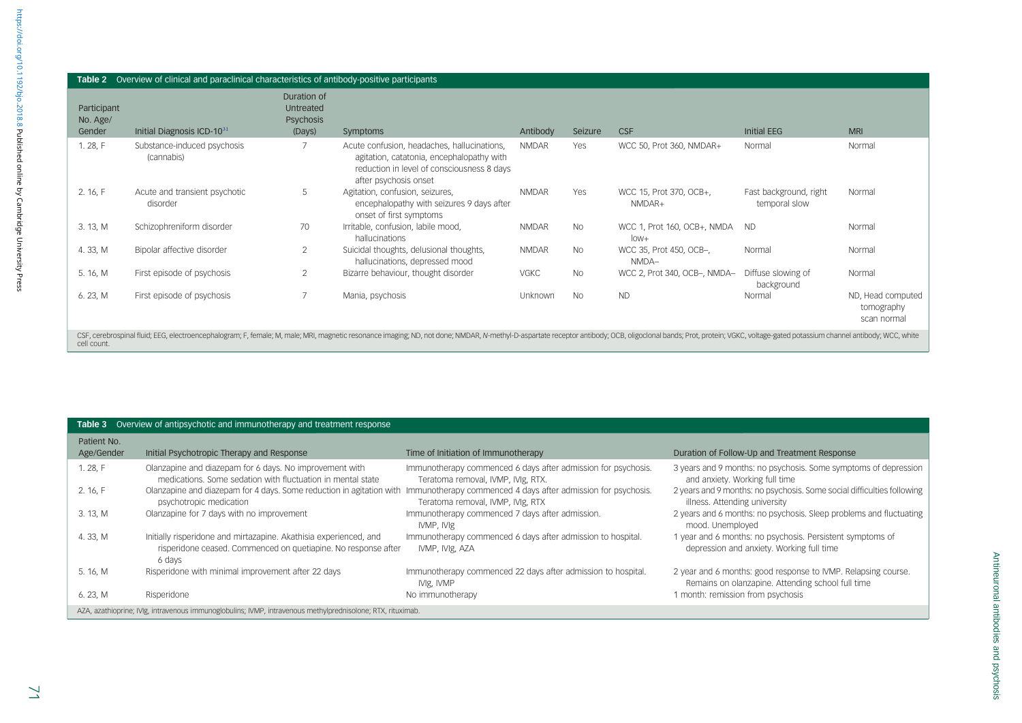<span id="page-2-0"></span>

| Table 2 Overview of clinical and paraclinical characteristics of antibody-positive participants                                                                                                                                               |                                           |                                                        |                                                                                                                                                                 |              |           |                                       |                                         |                                                |
|-----------------------------------------------------------------------------------------------------------------------------------------------------------------------------------------------------------------------------------------------|-------------------------------------------|--------------------------------------------------------|-----------------------------------------------------------------------------------------------------------------------------------------------------------------|--------------|-----------|---------------------------------------|-----------------------------------------|------------------------------------------------|
| Participant<br>No. Age/<br>Gender                                                                                                                                                                                                             | Initial Diagnosis ICD- $10^{31}$          | Duration of<br>Untreated<br><b>Psychosis</b><br>(Days) | Symptoms                                                                                                                                                        | Antibody     | Seizure   | <b>CSF</b>                            | Initial EEG                             | <b>MRI</b>                                     |
| 1.28, F                                                                                                                                                                                                                                       | Substance-induced psychosis<br>(cannabis) | $\overline{7}$                                         | Acute confusion, headaches, hallucinations,<br>agitation, catatonia, encephalopathy with<br>reduction in level of consciousness 8 days<br>after psychosis onset | <b>NMDAR</b> | Yes       | WCC 50, Prot 360, NMDAR+              | Normal                                  | Normal                                         |
| 2. 16, F                                                                                                                                                                                                                                      | Acute and transient psychotic<br>disorder | 5                                                      | Agitation, confusion, seizures,<br>encephalopathy with seizures 9 days after<br>onset of first symptoms                                                         | <b>NMDAR</b> | Yes       | WCC 15, Prot 370, OCB+,<br>NMDAR+     | Fast background, right<br>temporal slow | Normal                                         |
| 3. 13, M                                                                                                                                                                                                                                      | Schizophreniform disorder                 | 70                                                     | Irritable, confusion, labile mood,<br>hallucinations                                                                                                            | <b>NMDAR</b> | <b>No</b> | WCC 1, Prot 160, OCB+, NMDA<br>$low+$ | <b>ND</b>                               | Normal                                         |
| 4.33, M                                                                                                                                                                                                                                       | Bipolar affective disorder                | $\overline{2}$                                         | Suicidal thoughts, delusional thoughts,<br>hallucinations, depressed mood                                                                                       | <b>NMDAR</b> | <b>No</b> | WCC 35, Prot 450, OCB-,<br>NMDA-      | Normal                                  | Normal                                         |
| 5. 16, M                                                                                                                                                                                                                                      | First episode of psychosis                | $\overline{2}$                                         | Bizarre behaviour, thought disorder                                                                                                                             | <b>VGKC</b>  | <b>No</b> | WCC 2, Prot 340, OCB-, NMDA-          | Diffuse slowing of<br>background        | Normal                                         |
| 6. 23, M                                                                                                                                                                                                                                      | First episode of psychosis                |                                                        | Mania, psychosis                                                                                                                                                | Unknown      | <b>No</b> | <b>ND</b>                             | Normal                                  | ND, Head computed<br>tomography<br>scan normal |
| CSF, cerebrospinal fluid; EEG, electroencephalogram; F, female; M, male; MRI, magnetic resonance imaging; ND, not done; NMDAR, N-methyl-D-aspartate receptor antibody; OCB, oligoclonal bands; Prot, protein; VGKC, voltage-ga<br>cell count. |                                           |                                                        |                                                                                                                                                                 |              |           |                                       |                                         |                                                |

# **Table 3** Overview of antipsychotic and immunotherapy and treatment response

| Patient No.<br>Age/Gender                                                                                   | Initial Psychotropic Therapy and Response                                                                                                                     | Time of Initiation of Immunotherapy                                                                 | Duration of Follow-Up and Treatment Response                                                                       |  |  |  |
|-------------------------------------------------------------------------------------------------------------|---------------------------------------------------------------------------------------------------------------------------------------------------------------|-----------------------------------------------------------------------------------------------------|--------------------------------------------------------------------------------------------------------------------|--|--|--|
|                                                                                                             |                                                                                                                                                               |                                                                                                     |                                                                                                                    |  |  |  |
| 1.28.F                                                                                                      | Olanzapine and diazepam for 6 days. No improvement with<br>medications. Some sedation with fluctuation in mental state                                        | Immunotherapy commenced 6 days after admission for psychosis.<br>Teratoma removal, IVMP, IVIg, RTX. | 3 years and 9 months: no psychosis. Some symptoms of depression<br>and anxiety. Working full time                  |  |  |  |
| 2.16, F                                                                                                     | Olanzapine and diazepam for 4 days. Some reduction in agitation with Immunotherapy commenced 4 days after admission for psychosis.<br>psychotropic medication | Teratoma removal, IVMP, IVIg, RTX                                                                   | 2 years and 9 months: no psychosis. Some social difficulties following<br>illness. Attending university            |  |  |  |
| 3. 13, M                                                                                                    | Olanzapine for 7 days with no improvement                                                                                                                     | Immunotherapy commenced 7 days after admission.<br>IVMP, IVIg                                       | 2 years and 6 months: no psychosis. Sleep problems and fluctuating<br>mood. Unemployed                             |  |  |  |
| 4.33, M                                                                                                     | Initially risperidone and mirtazapine. Akathisia experienced, and<br>risperidone ceased. Commenced on quetiapine. No response after<br>6 days                 | Immunotherapy commenced 6 days after admission to hospital.<br>IVMP, IVIg, AZA                      | 1 year and 6 months: no psychosis. Persistent symptoms of<br>depression and anxiety. Working full time             |  |  |  |
| 5. 16, M                                                                                                    | Risperidone with minimal improvement after 22 days                                                                                                            | Immunotherapy commenced 22 days after admission to hospital.<br>IVIg, IVMP                          | 2 year and 6 months: good response to IVMP. Relapsing course.<br>Remains on olanzapine. Attending school full time |  |  |  |
| 6. 23, M                                                                                                    | Risperidone                                                                                                                                                   | No immunotherapy                                                                                    | 1 month: remission from psychosis                                                                                  |  |  |  |
| AZA, azathioprine; IVIg, intravenous immunoglobulins; IVMP, intravenous methylprednisolone; RTX, rituximab. |                                                                                                                                                               |                                                                                                     |                                                                                                                    |  |  |  |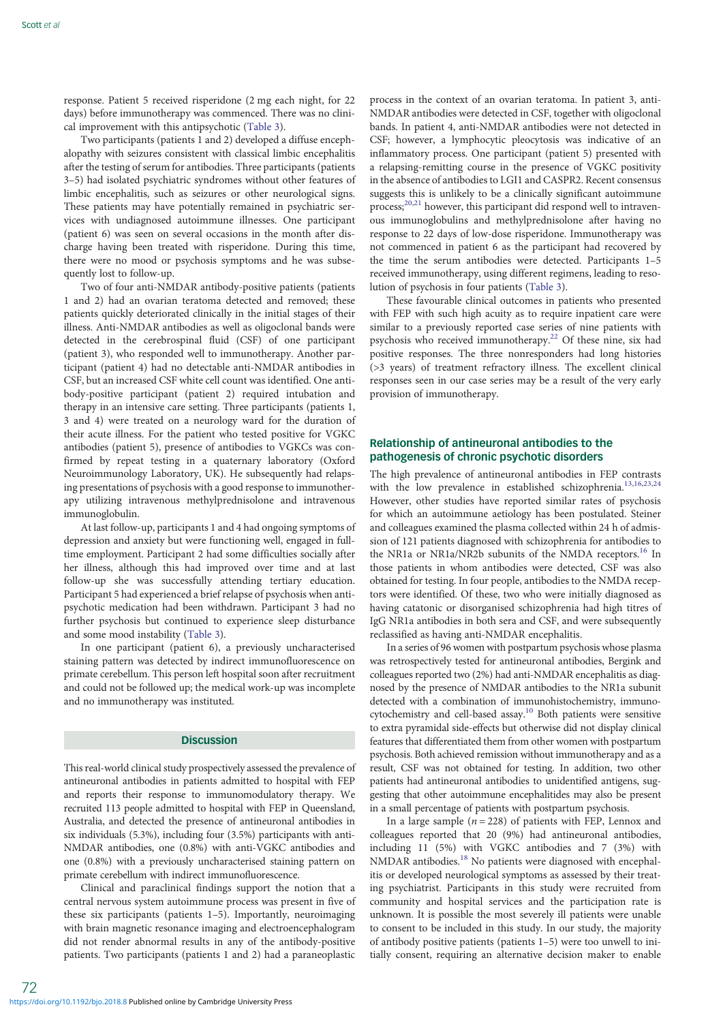response. Patient 5 received risperidone (2 mg each night, for 22 days) before immunotherapy was commenced. There was no clinical improvement with this antipsychotic ([Table 3](#page-2-0)).

Two participants (patients 1 and 2) developed a diffuse encephalopathy with seizures consistent with classical limbic encephalitis after the testing of serum for antibodies. Three participants (patients 3–5) had isolated psychiatric syndromes without other features of limbic encephalitis, such as seizures or other neurological signs. These patients may have potentially remained in psychiatric services with undiagnosed autoimmune illnesses. One participant (patient 6) was seen on several occasions in the month after discharge having been treated with risperidone. During this time, there were no mood or psychosis symptoms and he was subsequently lost to follow-up.

Two of four anti-NMDAR antibody-positive patients (patients 1 and 2) had an ovarian teratoma detected and removed; these patients quickly deteriorated clinically in the initial stages of their illness. Anti-NMDAR antibodies as well as oligoclonal bands were detected in the cerebrospinal fluid (CSF) of one participant (patient 3), who responded well to immunotherapy. Another participant (patient 4) had no detectable anti-NMDAR antibodies in CSF, but an increased CSF white cell count was identified. One antibody-positive participant (patient 2) required intubation and therapy in an intensive care setting. Three participants (patients 1, 3 and 4) were treated on a neurology ward for the duration of their acute illness. For the patient who tested positive for VGKC antibodies (patient 5), presence of antibodies to VGKCs was confirmed by repeat testing in a quaternary laboratory (Oxford Neuroimmunology Laboratory, UK). He subsequently had relapsing presentations of psychosis with a good response to immunotherapy utilizing intravenous methylprednisolone and intravenous immunoglobulin.

At last follow-up, participants 1 and 4 had ongoing symptoms of depression and anxiety but were functioning well, engaged in fulltime employment. Participant 2 had some difficulties socially after her illness, although this had improved over time and at last follow-up she was successfully attending tertiary education. Participant 5 had experienced a brief relapse of psychosis when antipsychotic medication had been withdrawn. Participant 3 had no further psychosis but continued to experience sleep disturbance and some mood instability [\(Table 3](#page-2-0)).

In one participant (patient 6), a previously uncharacterised staining pattern was detected by indirect immunofluorescence on primate cerebellum. This person left hospital soon after recruitment and could not be followed up; the medical work-up was incomplete and no immunotherapy was instituted.

#### **Discussion**

This real-world clinical study prospectively assessed the prevalence of antineuronal antibodies in patients admitted to hospital with FEP and reports their response to immunomodulatory therapy. We recruited 113 people admitted to hospital with FEP in Queensland, Australia, and detected the presence of antineuronal antibodies in six individuals (5.3%), including four (3.5%) participants with anti-NMDAR antibodies, one (0.8%) with anti-VGKC antibodies and one (0.8%) with a previously uncharacterised staining pattern on primate cerebellum with indirect immunofluorescence.

Clinical and paraclinical findings support the notion that a central nervous system autoimmune process was present in five of these six participants (patients 1–5). Importantly, neuroimaging with brain magnetic resonance imaging and electroencephalogram did not render abnormal results in any of the antibody-positive patients. Two participants (patients 1 and 2) had a paraneoplastic

process in the context of an ovarian teratoma. In patient 3, anti-NMDAR antibodies were detected in CSF, together with oligoclonal bands. In patient 4, anti-NMDAR antibodies were not detected in CSF; however, a lymphocytic pleocytosis was indicative of an inflammatory process. One participant (patient 5) presented with a relapsing-remitting course in the presence of VGKC positivity in the absence of antibodies to LGI1 and CASPR2. Recent consensus suggests this is unlikely to be a clinically significant autoimmune process;<sup>[20](#page-5-0),[21](#page-5-0)</sup> however, this participant did respond well to intravenous immunoglobulins and methylprednisolone after having no response to 22 days of low-dose risperidone. Immunotherapy was not commenced in patient 6 as the participant had recovered by the time the serum antibodies were detected. Participants 1–5 received immunotherapy, using different regimens, leading to resolution of psychosis in four patients ([Table 3\)](#page-2-0).

These favourable clinical outcomes in patients who presented with FEP with such high acuity as to require inpatient care were similar to a previously reported case series of nine patients with psychosis who received immunotherapy[.22](#page-5-0) Of these nine, six had positive responses. The three nonresponders had long histories (>3 years) of treatment refractory illness. The excellent clinical responses seen in our case series may be a result of the very early provision of immunotherapy.

## Relationship of antineuronal antibodies to the pathogenesis of chronic psychotic disorders

The high prevalence of antineuronal antibodies in FEP contrasts with the low prevalence in established schizophrenia.<sup>[13,16,23,24](#page-5-0)</sup> However, other studies have reported similar rates of psychosis for which an autoimmune aetiology has been postulated. Steiner and colleagues examined the plasma collected within 24 h of admission of 121 patients diagnosed with schizophrenia for antibodies to the NR1a or NR1a/NR2b subunits of the NMDA receptors.<sup>[16](#page-5-0)</sup> In those patients in whom antibodies were detected, CSF was also obtained for testing. In four people, antibodies to the NMDA receptors were identified. Of these, two who were initially diagnosed as having catatonic or disorganised schizophrenia had high titres of IgG NR1a antibodies in both sera and CSF, and were subsequently reclassified as having anti-NMDAR encephalitis.

In a series of 96 women with postpartum psychosis whose plasma was retrospectively tested for antineuronal antibodies, Bergink and colleagues reported two (2%) had anti-NMDAR encephalitis as diagnosed by the presence of NMDAR antibodies to the NR1a subunit detected with a combination of immunohistochemistry, immuno-cytochemistry and cell-based assay.<sup>[10](#page-5-0)</sup> Both patients were sensitive to extra pyramidal side-effects but otherwise did not display clinical features that differentiated them from other women with postpartum psychosis. Both achieved remission without immunotherapy and as a result, CSF was not obtained for testing. In addition, two other patients had antineuronal antibodies to unidentified antigens, suggesting that other autoimmune encephalitides may also be present in a small percentage of patients with postpartum psychosis.

In a large sample ( $n = 228$ ) of patients with FEP, Lennox and colleagues reported that 20 (9%) had antineuronal antibodies, including 11 (5%) with VGKC antibodies and 7 (3%) with NMDAR antibodies.[18](#page-5-0) No patients were diagnosed with encephalitis or developed neurological symptoms as assessed by their treating psychiatrist. Participants in this study were recruited from community and hospital services and the participation rate is unknown. It is possible the most severely ill patients were unable to consent to be included in this study. In our study, the majority of antibody positive patients (patients 1–5) were too unwell to initially consent, requiring an alternative decision maker to enable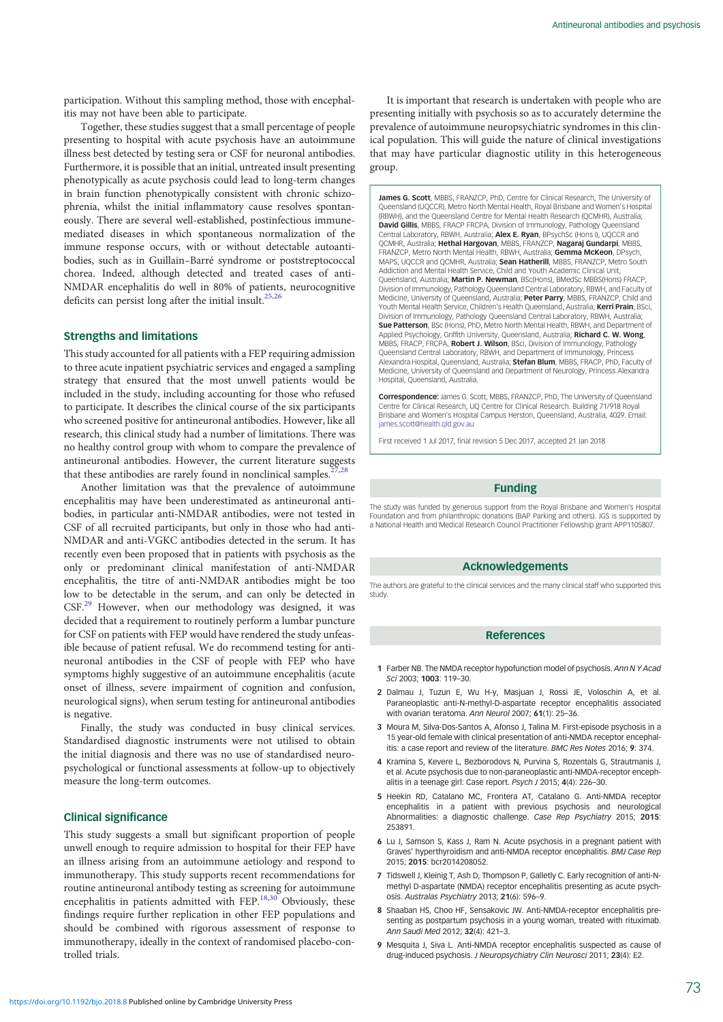<span id="page-4-0"></span>participation. Without this sampling method, those with encephalitis may not have been able to participate.

Together, these studies suggest that a small percentage of people presenting to hospital with acute psychosis have an autoimmune illness best detected by testing sera or CSF for neuronal antibodies. Furthermore, it is possible that an initial, untreated insult presenting phenotypically as acute psychosis could lead to long-term changes in brain function phenotypically consistent with chronic schizophrenia, whilst the initial inflammatory cause resolves spontaneously. There are several well-established, postinfectious immunemediated diseases in which spontaneous normalization of the immune response occurs, with or without detectable autoantibodies, such as in Guillain–Barré syndrome or poststreptococcal chorea. Indeed, although detected and treated cases of anti-NMDAR encephalitis do well in 80% of patients, neurocognitive deficits can persist long after the initial insult.<sup>[25](#page-5-0),[26](#page-5-0)</sup>

#### Strengths and limitations

This study accounted for all patients with a FEP requiring admission to three acute inpatient psychiatric services and engaged a sampling strategy that ensured that the most unwell patients would be included in the study, including accounting for those who refused to participate. It describes the clinical course of the six participants who screened positive for antineuronal antibodies. However, like all research, this clinical study had a number of limitations. There was no healthy control group with whom to compare the prevalence of antineuronal antibodies. However, the current literature suggests that these antibodies are rarely found in nonclinical samples.<sup>2</sup>

Another limitation was that the prevalence of autoimmune encephalitis may have been underestimated as antineuronal antibodies, in particular anti-NMDAR antibodies, were not tested in CSF of all recruited participants, but only in those who had anti-NMDAR and anti-VGKC antibodies detected in the serum. It has recently even been proposed that in patients with psychosis as the only or predominant clinical manifestation of anti-NMDAR encephalitis, the titre of anti-NMDAR antibodies might be too low to be detectable in the serum, and can only be detected in CSF.[29](#page-5-0) However, when our methodology was designed, it was decided that a requirement to routinely perform a lumbar puncture for CSF on patients with FEP would have rendered the study unfeasible because of patient refusal. We do recommend testing for antineuronal antibodies in the CSF of people with FEP who have symptoms highly suggestive of an autoimmune encephalitis (acute onset of illness, severe impairment of cognition and confusion, neurological signs), when serum testing for antineuronal antibodies is negative.

Finally, the study was conducted in busy clinical services. Standardised diagnostic instruments were not utilised to obtain the initial diagnosis and there was no use of standardised neuropsychological or functional assessments at follow-up to objectively measure the long-term outcomes.

#### Clinical significance

This study suggests a small but significant proportion of people unwell enough to require admission to hospital for their FEP have an illness arising from an autoimmune aetiology and respond to immunotherapy. This study supports recent recommendations for routine antineuronal antibody testing as screening for autoimmune encephalitis in patients admitted with FEP.<sup>[18](#page-5-0),[30](#page-5-0)</sup> Obviously, these findings require further replication in other FEP populations and should be combined with rigorous assessment of response to immunotherapy, ideally in the context of randomised placebo-controlled trials.

It is important that research is undertaken with people who are presenting initially with psychosis so as to accurately determine the prevalence of autoimmune neuropsychiatric syndromes in this clinical population. This will guide the nature of clinical investigations that may have particular diagnostic utility in this heterogeneous group.

James G. Scott, MBBS, FRANZCP, PhD, Centre for Clinical Research, The University of Queensland (UQCCR), Metro North Mental Health, Royal Brisbane and Women's Hospital (RBWH), and the Queensland Centre for Mental Health Research (QCMHR), Australia; David Gillis, MBBS, FRACP FRCPA, Division of Immunology, Pathology Oueensland Central Laboratory, RBWH, Australia; Alex E. Ryan, BPsychSc (Hons I), UQCCR and QCMHR, Australia; Hethal Hargovan, MBBS, FRANZCP, Nagaraj Gundarpi, MBBS FRANZCP, Metro North Mental Health, RBWH, Australia; Gemma McKeon, DPsych MAPS, UQCCR and QCMHR, Australia; Sean Hatherill, MBBS, FRANZCP, Metro South Addiction and Mental Health Service, Child and Youth Academic Clinical Unit, Queensland, Australia; Martin P. Newman, BSc(Hons), BMedSc MBBS(Hons) FRACP, Division of Immunology, Pathology Queensland Central Laboratory, RBWH, and Faculty of Medicine, University of Queensland, Australia; Peter Parry, MBBS, FRANZCP, Child and Youth Mental Health Service, Children's Health Oueensland, Australia; Kerri Prain, BSci, Division of Immunology, Pathology Queensland Central Laboratory, RBWH, Australia; Sue Patterson, BSc (Hons), PhD, Metro North Mental Health, RBWH, and Department of Applied Psychology, Griffith University, Queensland, Australia; Richard C. W. Wong, MBBS, FRACP, FRCPA, Robert J. Wilson, BSci, Division of Immunology, Pathology Queensland Central Laboratory, RBWH, and Department of Immunology, Princess Alexandra Hospital, Oueensland, Australia; Stefan Blum, MBBS, FRACP, PhD, Faculty of Medicine, University of Queensland and Department of Neurology, Princess Alexandra Hospital, Queensland, Australia.

Correspondence: James G. Scott, MBBS, FRANZCP, PhD, The University of Queensland Centre for Clinical Research, UQ Centre for Clinical Research. Building 71/918 Royal Brisbane and Women's Hospital Campus Herston, Queensland, Australia, 4029. Email: james.scott@health.gld.gov.au.

First received 1 Jul 2017, final revision 5 Dec 2017, accepted 21 Jan 2018

#### Funding

The study was funded by generous support from the Royal Brisbane and Women's Hospital Foundation and from philanthropic donations (BAP Parking and others). JGS is supported by a National Health and Medical Research Council Practitioner Fellowship grant APP1105807.

## Acknowledgements

The authors are grateful to the clinical services and the many clinical staff who supported this study.

#### References

- 1 Farber NB. The NMDA receptor hypofunction model of psychosis. Ann N Y Acad Sci 2003; 1003: 119–30.
- 2 Dalmau J, Tuzun E, Wu H-y, Masjuan J, Rossi JE, Voloschin A, et al. Paraneoplastic anti-N-methyl-D-aspartate receptor encephalitis associated with ovarian teratoma. Ann Neurol 2007; 61(1): 25–36.
- 3 Moura M, Silva-Dos-Santos A, Afonso J, Talina M. First-episode psychosis in a 15 year-old female with clinical presentation of anti-NMDA receptor encephalitis: a case report and review of the literature. BMC Res Notes 2016; 9: 374.
- 4 Kramina S, Kevere L, Bezborodovs N, Purvina S, Rozentals G, Strautmanis L et al. Acute psychosis due to non-paraneoplastic anti-NMDA-receptor encephalitis in a teenage girl: Case report. Psych J 2015; 4(4): 226–30.
- 5 Heekin RD, Catalano MC, Frontera AT, Catalano G. Anti-NMDA receptor encephalitis in a patient with previous psychosis and neurological Abnormalities: a diagnostic challenge. Case Rep Psychiatry 2015; 2015: 253891.
- 6 Lu J, Samson S, Kass J, Ram N. Acute psychosis in a pregnant patient with Graves' hyperthyroidism and anti-NMDA receptor encephalitis. BMJ Case Rep 2015; 2015: bcr2014208052.
- 7 Tidswell J, Kleinig T, Ash D, Thompson P, Galletly C. Early recognition of anti-Nmethyl D-aspartate (NMDA) receptor encephalitis presenting as acute psychosis. Australas Psychiatry 2013; 21(6): 596–9.
- 8 Shaaban HS, Choo HF, Sensakovic JW, Anti-NMDA-receptor encephalitis presenting as postpartum psychosis in a young woman, treated with rituximab. Ann Saudi Med 2012; 32(4): 421–3.
- 9 Mesquita J. Siva L. Anti-NMDA receptor encephalitis suspected as cause of drug-induced psychosis. J Neuropsychiatry Clin Neurosci 2011; 23(4): E2.